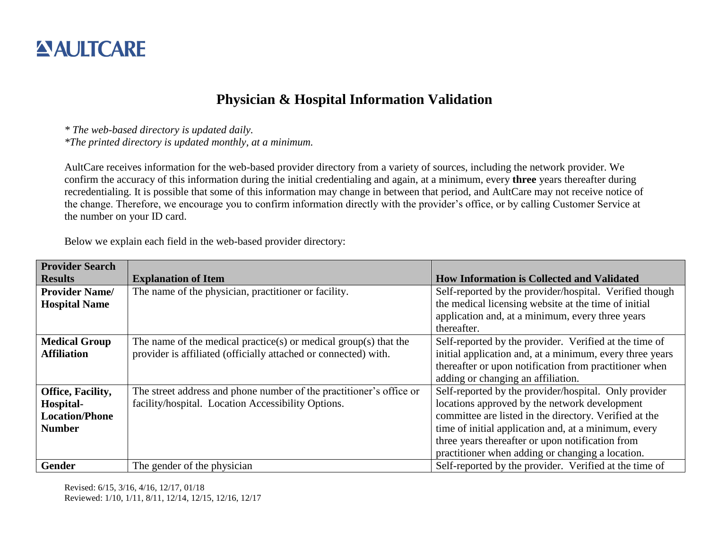## **ANULTCARE**

## **Physician & Hospital Information Validation**

*\* The web-based directory is updated daily.*

*\*The printed directory is updated monthly, at a minimum.*

AultCare receives information for the web-based provider directory from a variety of sources, including the network provider. We confirm the accuracy of this information during the initial credentialing and again, at a minimum, every **three** years thereafter during recredentialing. It is possible that some of this information may change in between that period, and AultCare may not receive notice of the change. Therefore, we encourage you to confirm information directly with the provider's office, or by calling Customer Service at the number on your ID card.

Below we explain each field in the web-based provider directory:

| <b>Provider Search</b> |                                                                     |                                                          |
|------------------------|---------------------------------------------------------------------|----------------------------------------------------------|
| <b>Results</b>         | <b>Explanation of Item</b>                                          | <b>How Information is Collected and Validated</b>        |
| <b>Provider Name/</b>  | The name of the physician, practitioner or facility.                | Self-reported by the provider/hospital. Verified though  |
| <b>Hospital Name</b>   |                                                                     | the medical licensing website at the time of initial     |
|                        |                                                                     | application and, at a minimum, every three years         |
|                        |                                                                     | thereafter.                                              |
| <b>Medical Group</b>   | The name of the medical practice(s) or medical group(s) that the    | Self-reported by the provider. Verified at the time of   |
| <b>Affiliation</b>     | provider is affiliated (officially attached or connected) with.     | initial application and, at a minimum, every three years |
|                        |                                                                     | thereafter or upon notification from practitioner when   |
|                        |                                                                     | adding or changing an affiliation.                       |
| Office, Facility,      | The street address and phone number of the practitioner's office or | Self-reported by the provider/hospital. Only provider    |
| Hospital-              | facility/hospital. Location Accessibility Options.                  | locations approved by the network development            |
| <b>Location/Phone</b>  |                                                                     | committee are listed in the directory. Verified at the   |
| <b>Number</b>          |                                                                     | time of initial application and, at a minimum, every     |
|                        |                                                                     | three years thereafter or upon notification from         |
|                        |                                                                     | practitioner when adding or changing a location.         |
| <b>Gender</b>          | The gender of the physician                                         | Self-reported by the provider. Verified at the time of   |

Revised: 6/15, 3/16, 4/16, 12/17, 01/18 Reviewed: 1/10, 1/11, 8/11, 12/14, 12/15, 12/16, 12/17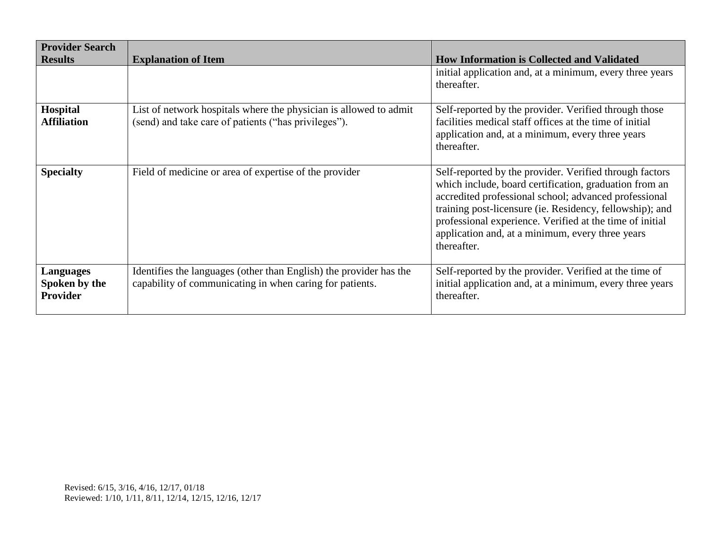| <b>Provider Search</b>                               |                                                                                                                                |                                                                                                                                                                                                                                                                                                                                                                       |
|------------------------------------------------------|--------------------------------------------------------------------------------------------------------------------------------|-----------------------------------------------------------------------------------------------------------------------------------------------------------------------------------------------------------------------------------------------------------------------------------------------------------------------------------------------------------------------|
| <b>Results</b>                                       | <b>Explanation of Item</b>                                                                                                     | <b>How Information is Collected and Validated</b>                                                                                                                                                                                                                                                                                                                     |
|                                                      |                                                                                                                                | initial application and, at a minimum, every three years<br>thereafter.                                                                                                                                                                                                                                                                                               |
| Hospital<br><b>Affiliation</b>                       | List of network hospitals where the physician is allowed to admit<br>(send) and take care of patients ("has privileges").      | Self-reported by the provider. Verified through those<br>facilities medical staff offices at the time of initial<br>application and, at a minimum, every three years<br>thereafter.                                                                                                                                                                                   |
| <b>Specialty</b>                                     | Field of medicine or area of expertise of the provider                                                                         | Self-reported by the provider. Verified through factors<br>which include, board certification, graduation from an<br>accredited professional school; advanced professional<br>training post-licensure (ie. Residency, fellowship); and<br>professional experience. Verified at the time of initial<br>application and, at a minimum, every three years<br>thereafter. |
| <b>Languages</b><br>Spoken by the<br><b>Provider</b> | Identifies the languages (other than English) the provider has the<br>capability of communicating in when caring for patients. | Self-reported by the provider. Verified at the time of<br>initial application and, at a minimum, every three years<br>thereafter.                                                                                                                                                                                                                                     |